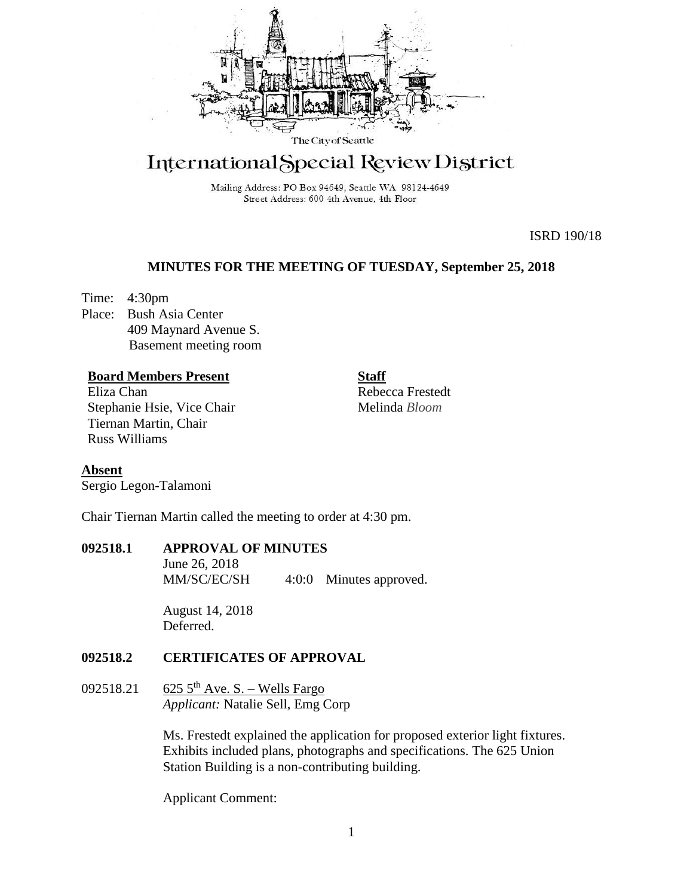

# International Special Review District

Mailing Address: PO Box 94649, Seattle WA 98124-4649 Street Address: 600 4th Avenue, 4th Floor

ISRD 190/18

# **MINUTES FOR THE MEETING OF TUESDAY, September 25, 2018**

Time: 4:30pm Place: Bush Asia Center 409 Maynard Avenue S. Basement meeting room

# **Board Members Present**

Eliza Chan Stephanie Hsie, Vice Chair Tiernan Martin, Chair Russ Williams

Rebecca Frestedt Melinda *Bloom*

**Staff**

**Absent** Sergio Legon-Talamoni

Chair Tiernan Martin called the meeting to order at 4:30 pm.

## **092518.1 APPROVAL OF MINUTES**

June 26, 2018 MM/SC/EC/SH 4:0:0 Minutes approved.

August 14, 2018 Deferred.

# **092518.2 CERTIFICATES OF APPROVAL**

092518.21 625  $5^{th}$  Ave. S. – Wells Fargo *Applicant:* Natalie Sell, Emg Corp

> Ms. Frestedt explained the application for proposed exterior light fixtures. Exhibits included plans, photographs and specifications. The 625 Union Station Building is a non-contributing building.

Applicant Comment: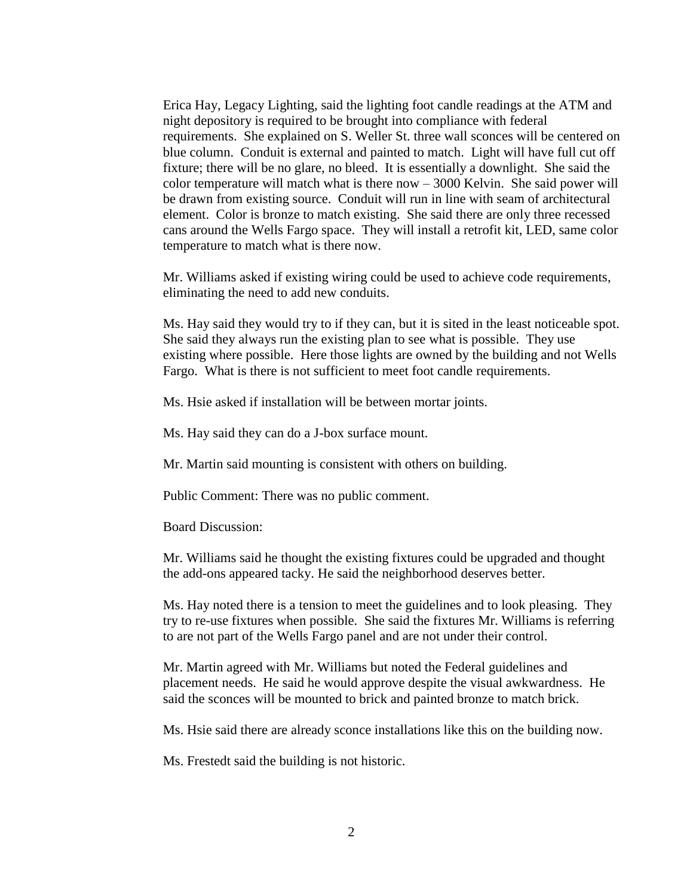Erica Hay, Legacy Lighting, said the lighting foot candle readings at the ATM and night depository is required to be brought into compliance with federal requirements. She explained on S. Weller St. three wall sconces will be centered on blue column. Conduit is external and painted to match. Light will have full cut off fixture; there will be no glare, no bleed. It is essentially a downlight. She said the color temperature will match what is there  $now - 3000$  Kelvin. She said power will be drawn from existing source. Conduit will run in line with seam of architectural element. Color is bronze to match existing. She said there are only three recessed cans around the Wells Fargo space. They will install a retrofit kit, LED, same color temperature to match what is there now.

Mr. Williams asked if existing wiring could be used to achieve code requirements, eliminating the need to add new conduits.

Ms. Hay said they would try to if they can, but it is sited in the least noticeable spot. She said they always run the existing plan to see what is possible. They use existing where possible. Here those lights are owned by the building and not Wells Fargo. What is there is not sufficient to meet foot candle requirements.

Ms. Hsie asked if installation will be between mortar joints.

Ms. Hay said they can do a J-box surface mount.

Mr. Martin said mounting is consistent with others on building.

Public Comment: There was no public comment.

Board Discussion:

Mr. Williams said he thought the existing fixtures could be upgraded and thought the add-ons appeared tacky. He said the neighborhood deserves better.

Ms. Hay noted there is a tension to meet the guidelines and to look pleasing. They try to re-use fixtures when possible. She said the fixtures Mr. Williams is referring to are not part of the Wells Fargo panel and are not under their control.

Mr. Martin agreed with Mr. Williams but noted the Federal guidelines and placement needs. He said he would approve despite the visual awkwardness. He said the sconces will be mounted to brick and painted bronze to match brick.

Ms. Hsie said there are already sconce installations like this on the building now.

Ms. Frestedt said the building is not historic.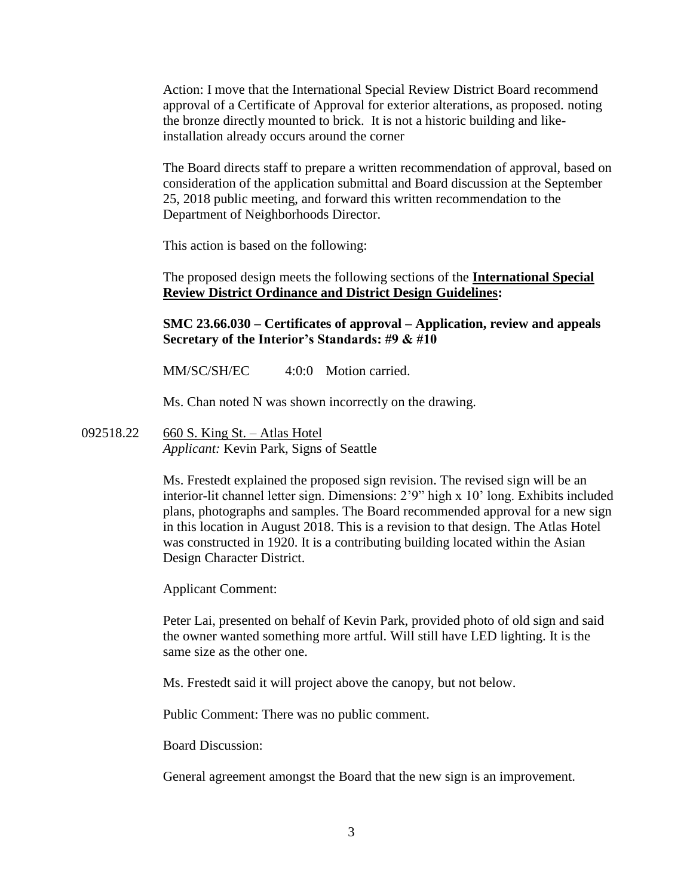Action: I move that the International Special Review District Board recommend approval of a Certificate of Approval for exterior alterations, as proposed. noting the bronze directly mounted to brick. It is not a historic building and likeinstallation already occurs around the corner

The Board directs staff to prepare a written recommendation of approval, based on consideration of the application submittal and Board discussion at the September 25, 2018 public meeting, and forward this written recommendation to the Department of Neighborhoods Director.

This action is based on the following:

The proposed design meets the following sections of the **International Special Review District Ordinance and District Design Guidelines:** 

## **SMC 23.66.030 – Certificates of approval – Application, review and appeals Secretary of the Interior's Standards: #9 & #10**

MM/SC/SH/EC 4:0:0 Motion carried.

Ms. Chan noted N was shown incorrectly on the drawing.

092518.22 660 S. King St. – Atlas Hotel *Applicant:* Kevin Park, Signs of Seattle

> Ms. Frestedt explained the proposed sign revision. The revised sign will be an interior-lit channel letter sign. Dimensions: 2'9" high x 10' long. Exhibits included plans, photographs and samples. The Board recommended approval for a new sign in this location in August 2018. This is a revision to that design. The Atlas Hotel was constructed in 1920. It is a contributing building located within the Asian Design Character District.

Applicant Comment:

Peter Lai, presented on behalf of Kevin Park, provided photo of old sign and said the owner wanted something more artful. Will still have LED lighting. It is the same size as the other one.

Ms. Frestedt said it will project above the canopy, but not below.

Public Comment: There was no public comment.

Board Discussion:

General agreement amongst the Board that the new sign is an improvement.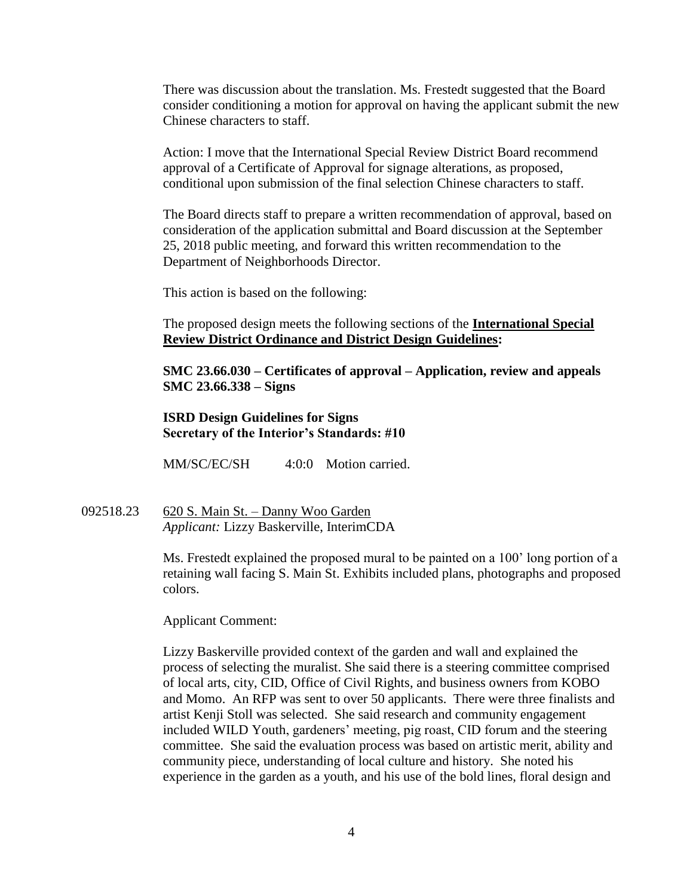There was discussion about the translation. Ms. Frestedt suggested that the Board consider conditioning a motion for approval on having the applicant submit the new Chinese characters to staff.

Action: I move that the International Special Review District Board recommend approval of a Certificate of Approval for signage alterations, as proposed, conditional upon submission of the final selection Chinese characters to staff.

The Board directs staff to prepare a written recommendation of approval, based on consideration of the application submittal and Board discussion at the September 25, 2018 public meeting, and forward this written recommendation to the Department of Neighborhoods Director.

This action is based on the following:

The proposed design meets the following sections of the **International Special Review District Ordinance and District Design Guidelines:** 

**SMC 23.66.030 – Certificates of approval – Application, review and appeals SMC 23.66.338 – Signs** 

# **ISRD Design Guidelines for Signs Secretary of the Interior's Standards: #10**

MM/SC/EC/SH 4:0:0 Motion carried.

092518.23 620 S. Main St. – Danny Woo Garden *Applicant:* Lizzy Baskerville, InterimCDA

> Ms. Frestedt explained the proposed mural to be painted on a 100' long portion of a retaining wall facing S. Main St. Exhibits included plans, photographs and proposed colors.

#### Applicant Comment:

Lizzy Baskerville provided context of the garden and wall and explained the process of selecting the muralist. She said there is a steering committee comprised of local arts, city, CID, Office of Civil Rights, and business owners from KOBO and Momo. An RFP was sent to over 50 applicants. There were three finalists and artist Kenji Stoll was selected. She said research and community engagement included WILD Youth, gardeners' meeting, pig roast, CID forum and the steering committee. She said the evaluation process was based on artistic merit, ability and community piece, understanding of local culture and history. She noted his experience in the garden as a youth, and his use of the bold lines, floral design and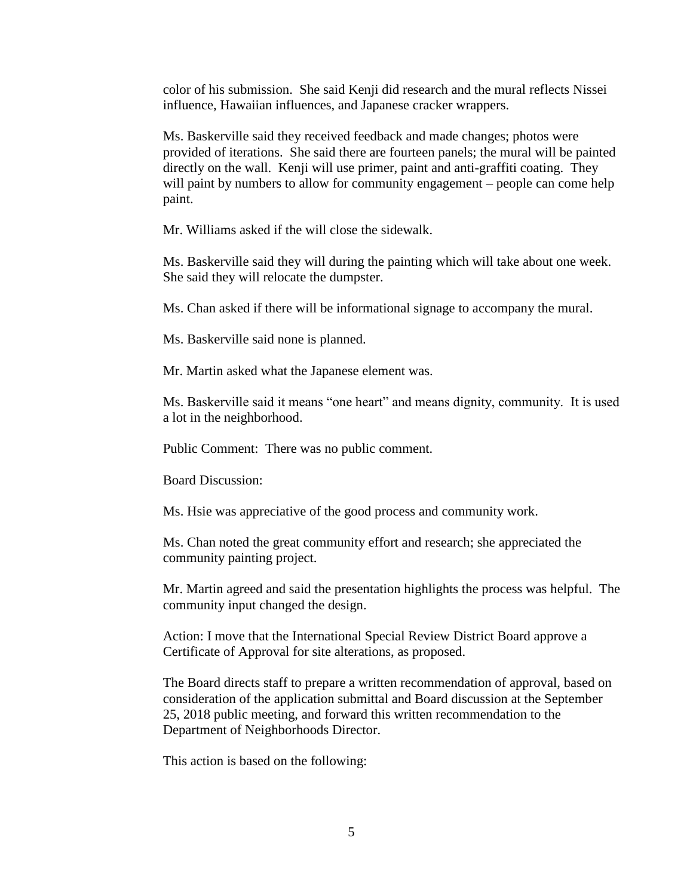color of his submission. She said Kenji did research and the mural reflects Nissei influence, Hawaiian influences, and Japanese cracker wrappers.

Ms. Baskerville said they received feedback and made changes; photos were provided of iterations. She said there are fourteen panels; the mural will be painted directly on the wall. Kenji will use primer, paint and anti-graffiti coating. They will paint by numbers to allow for community engagement – people can come help paint.

Mr. Williams asked if the will close the sidewalk.

Ms. Baskerville said they will during the painting which will take about one week. She said they will relocate the dumpster.

Ms. Chan asked if there will be informational signage to accompany the mural.

Ms. Baskerville said none is planned.

Mr. Martin asked what the Japanese element was.

Ms. Baskerville said it means "one heart" and means dignity, community. It is used a lot in the neighborhood.

Public Comment: There was no public comment.

Board Discussion:

Ms. Hsie was appreciative of the good process and community work.

Ms. Chan noted the great community effort and research; she appreciated the community painting project.

Mr. Martin agreed and said the presentation highlights the process was helpful. The community input changed the design.

Action: I move that the International Special Review District Board approve a Certificate of Approval for site alterations, as proposed.

The Board directs staff to prepare a written recommendation of approval, based on consideration of the application submittal and Board discussion at the September 25, 2018 public meeting, and forward this written recommendation to the Department of Neighborhoods Director.

This action is based on the following: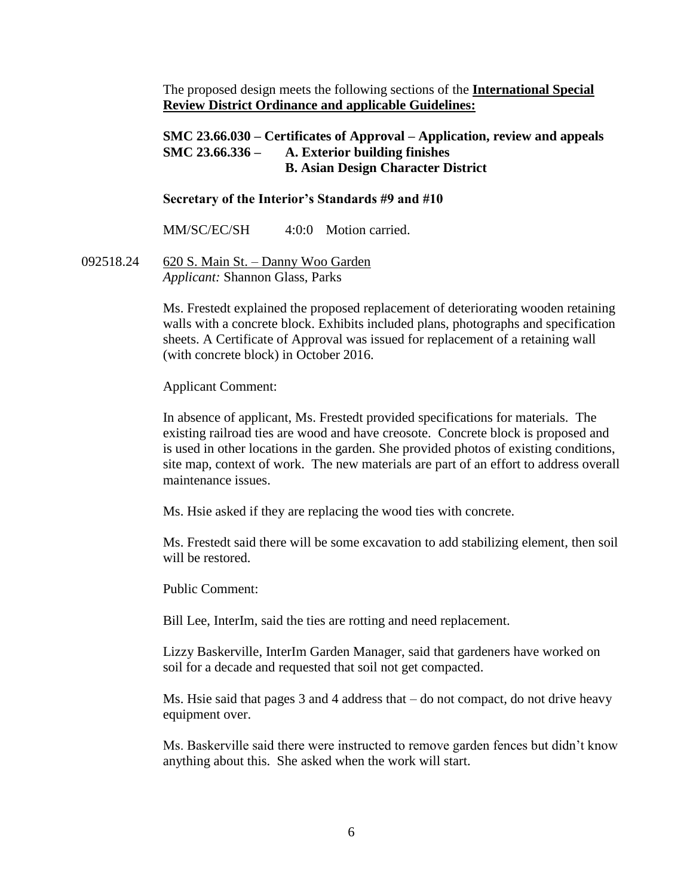The proposed design meets the following sections of the **International Special Review District Ordinance and applicable Guidelines:**

# **SMC 23.66.030 – Certificates of Approval – Application, review and appeals SMC 23.66.336 – A. Exterior building finishes B. Asian Design Character District**

### **Secretary of the Interior's Standards #9 and #10**

MM/SC/EC/SH 4:0:0 Motion carried.

092518.24 620 S. Main St. – Danny Woo Garden *Applicant:* Shannon Glass, Parks

> Ms. Frestedt explained the proposed replacement of deteriorating wooden retaining walls with a concrete block. Exhibits included plans, photographs and specification sheets. A Certificate of Approval was issued for replacement of a retaining wall (with concrete block) in October 2016.

Applicant Comment:

In absence of applicant, Ms. Frestedt provided specifications for materials. The existing railroad ties are wood and have creosote. Concrete block is proposed and is used in other locations in the garden. She provided photos of existing conditions, site map, context of work. The new materials are part of an effort to address overall maintenance issues.

Ms. Hsie asked if they are replacing the wood ties with concrete.

Ms. Frestedt said there will be some excavation to add stabilizing element, then soil will be restored.

Public Comment:

Bill Lee, InterIm, said the ties are rotting and need replacement.

Lizzy Baskerville, InterIm Garden Manager, said that gardeners have worked on soil for a decade and requested that soil not get compacted.

Ms. Hsie said that pages 3 and 4 address that – do not compact, do not drive heavy equipment over.

Ms. Baskerville said there were instructed to remove garden fences but didn't know anything about this. She asked when the work will start.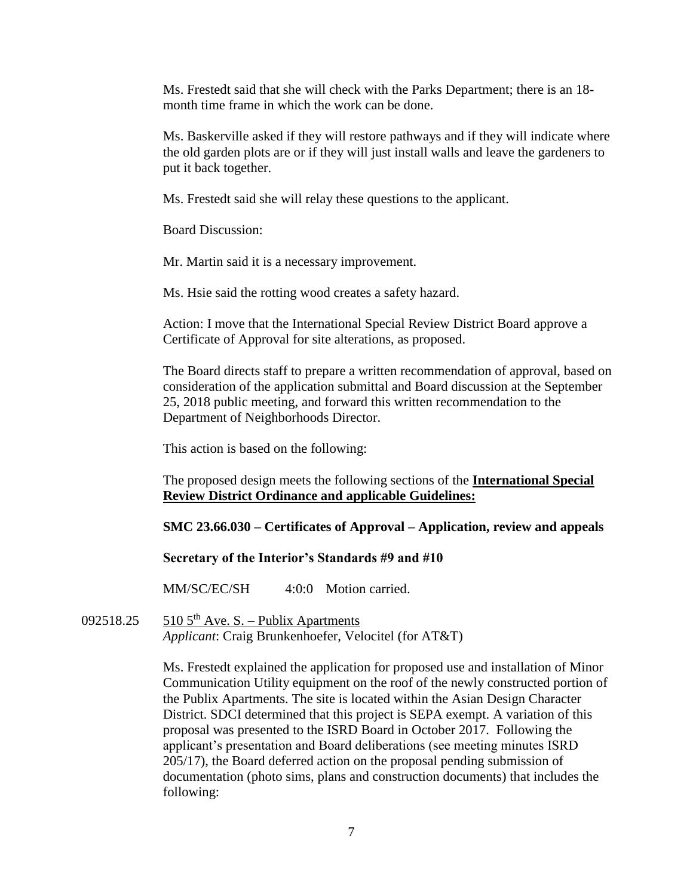Ms. Frestedt said that she will check with the Parks Department; there is an 18 month time frame in which the work can be done.

Ms. Baskerville asked if they will restore pathways and if they will indicate where the old garden plots are or if they will just install walls and leave the gardeners to put it back together.

Ms. Frestedt said she will relay these questions to the applicant.

Board Discussion:

Mr. Martin said it is a necessary improvement.

Ms. Hsie said the rotting wood creates a safety hazard.

Action: I move that the International Special Review District Board approve a Certificate of Approval for site alterations, as proposed.

The Board directs staff to prepare a written recommendation of approval, based on consideration of the application submittal and Board discussion at the September 25, 2018 public meeting, and forward this written recommendation to the Department of Neighborhoods Director.

This action is based on the following:

The proposed design meets the following sections of the **International Special Review District Ordinance and applicable Guidelines:**

**SMC 23.66.030 – Certificates of Approval – Application, review and appeals**

**Secretary of the Interior's Standards #9 and #10**

MM/SC/EC/SH 4:0:0 Motion carried.

092518.25 510  $5<sup>th</sup>$  Ave. S. – Publix Apartments *Applicant*: Craig Brunkenhoefer, Velocitel (for AT&T)

> Ms. Frestedt explained the application for proposed use and installation of Minor Communication Utility equipment on the roof of the newly constructed portion of the Publix Apartments. The site is located within the Asian Design Character District. SDCI determined that this project is SEPA exempt. A variation of this proposal was presented to the ISRD Board in October 2017. Following the applicant's presentation and Board deliberations (see meeting minutes ISRD 205/17), the Board deferred action on the proposal pending submission of documentation (photo sims, plans and construction documents) that includes the following: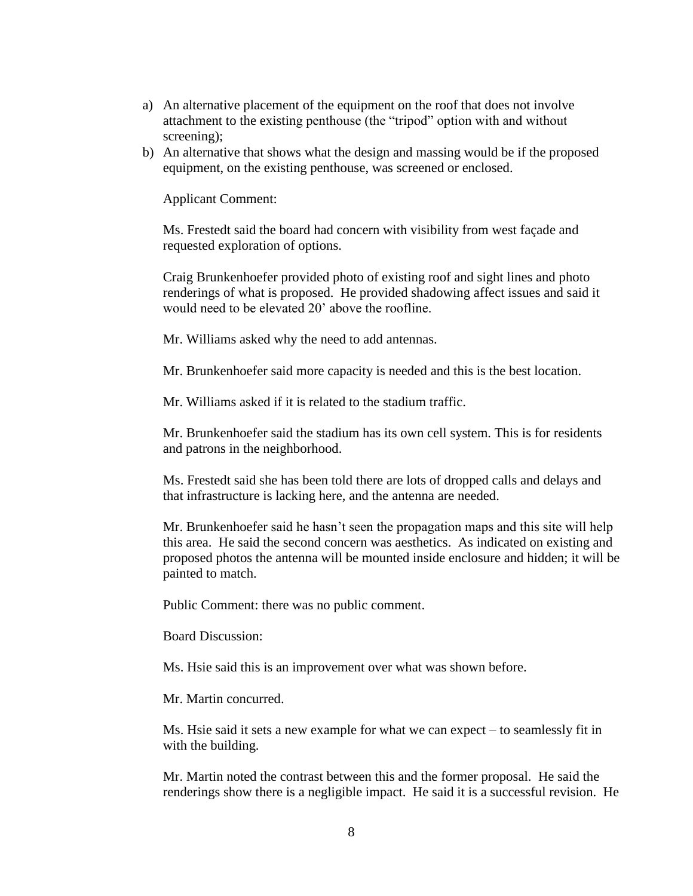- a) An alternative placement of the equipment on the roof that does not involve attachment to the existing penthouse (the "tripod" option with and without screening);
- b) An alternative that shows what the design and massing would be if the proposed equipment, on the existing penthouse, was screened or enclosed.

Applicant Comment:

Ms. Frestedt said the board had concern with visibility from west façade and requested exploration of options.

Craig Brunkenhoefer provided photo of existing roof and sight lines and photo renderings of what is proposed. He provided shadowing affect issues and said it would need to be elevated 20' above the roofline.

Mr. Williams asked why the need to add antennas.

Mr. Brunkenhoefer said more capacity is needed and this is the best location.

Mr. Williams asked if it is related to the stadium traffic.

Mr. Brunkenhoefer said the stadium has its own cell system. This is for residents and patrons in the neighborhood.

Ms. Frestedt said she has been told there are lots of dropped calls and delays and that infrastructure is lacking here, and the antenna are needed.

Mr. Brunkenhoefer said he hasn't seen the propagation maps and this site will help this area. He said the second concern was aesthetics. As indicated on existing and proposed photos the antenna will be mounted inside enclosure and hidden; it will be painted to match.

Public Comment: there was no public comment.

Board Discussion:

Ms. Hsie said this is an improvement over what was shown before.

Mr. Martin concurred.

Ms. Hsie said it sets a new example for what we can expect – to seamlessly fit in with the building.

Mr. Martin noted the contrast between this and the former proposal. He said the renderings show there is a negligible impact. He said it is a successful revision. He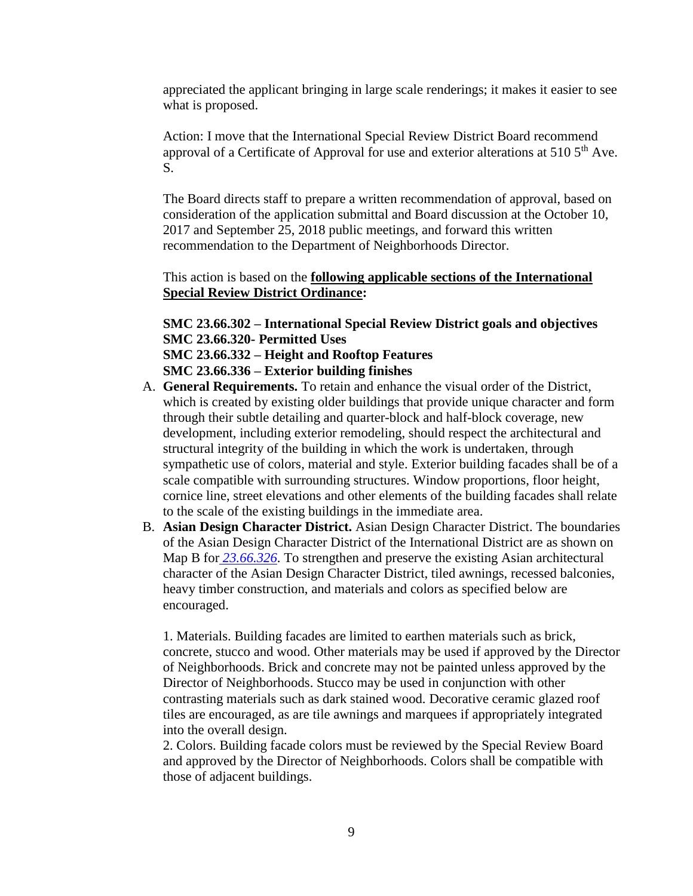appreciated the applicant bringing in large scale renderings; it makes it easier to see what is proposed.

Action: I move that the International Special Review District Board recommend approval of a Certificate of Approval for use and exterior alterations at 510 5<sup>th</sup> Ave. S.

The Board directs staff to prepare a written recommendation of approval, based on consideration of the application submittal and Board discussion at the October 10, 2017 and September 25, 2018 public meetings, and forward this written recommendation to the Department of Neighborhoods Director.

This action is based on the **following applicable sections of the International Special Review District Ordinance:** 

**SMC 23.66.302 – International Special Review District goals and objectives SMC 23.66.320- Permitted Uses SMC 23.66.332 – Height and Rooftop Features**

**SMC 23.66.336 – Exterior building finishes**

- A. **General Requirements.** To retain and enhance the visual order of the District, which is created by existing older buildings that provide unique character and form through their subtle detailing and quarter-block and half-block coverage, new development, including exterior remodeling, should respect the architectural and structural integrity of the building in which the work is undertaken, through sympathetic use of colors, material and style. Exterior building facades shall be of a scale compatible with surrounding structures. Window proportions, floor height, cornice line, street elevations and other elements of the building facades shall relate to the scale of the existing buildings in the immediate area.
- B. **Asian Design Character District.** Asian Design Character District. The boundaries of the Asian Design Character District of the International District are as shown on Map B for *[23.66.326](https://library.municode.com/wa/seattle/codes/municipal_code?nodeId=TIT23LAUSCO_SUBTITLE_IIILAUSRE_CH23.66SPREDI_SUBCHAPTER_IIIINSPREDI_23.66.326STVEUS)*. To strengthen and preserve the existing Asian architectural character of the Asian Design Character District, tiled awnings, recessed balconies, heavy timber construction, and materials and colors as specified below are encouraged.

1. Materials. Building facades are limited to earthen materials such as brick, concrete, stucco and wood. Other materials may be used if approved by the Director of Neighborhoods. Brick and concrete may not be painted unless approved by the Director of Neighborhoods. Stucco may be used in conjunction with other contrasting materials such as dark stained wood. Decorative ceramic glazed roof tiles are encouraged, as are tile awnings and marquees if appropriately integrated into the overall design.

2. Colors. Building facade colors must be reviewed by the Special Review Board and approved by the Director of Neighborhoods. Colors shall be compatible with those of adjacent buildings.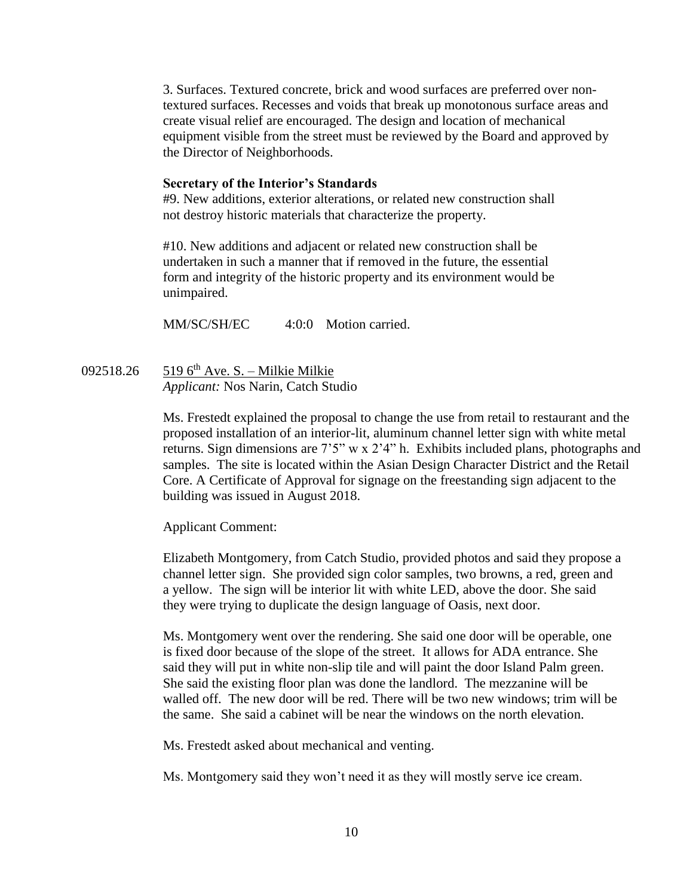3. Surfaces. Textured concrete, brick and wood surfaces are preferred over nontextured surfaces. Recesses and voids that break up monotonous surface areas and create visual relief are encouraged. The design and location of mechanical equipment visible from the street must be reviewed by the Board and approved by the Director of Neighborhoods.

#### **Secretary of the Interior's Standards**

#9. New additions, exterior alterations, or related new construction shall not destroy historic materials that characterize the property.

#10. New additions and adjacent or related new construction shall be undertaken in such a manner that if removed in the future, the essential form and integrity of the historic property and its environment would be unimpaired.

MM/SC/SH/EC 4:0:0 Motion carried.

092518.26 519 6<sup>th</sup> Ave. S. – Milkie Milkie *Applicant:* Nos Narin, Catch Studio

> Ms. Frestedt explained the proposal to change the use from retail to restaurant and the proposed installation of an interior-lit, aluminum channel letter sign with white metal returns. Sign dimensions are 7'5" w x 2'4" h. Exhibits included plans, photographs and samples. The site is located within the Asian Design Character District and the Retail Core. A Certificate of Approval for signage on the freestanding sign adjacent to the building was issued in August 2018.

Applicant Comment:

Elizabeth Montgomery, from Catch Studio, provided photos and said they propose a channel letter sign. She provided sign color samples, two browns, a red, green and a yellow. The sign will be interior lit with white LED, above the door. She said they were trying to duplicate the design language of Oasis, next door.

Ms. Montgomery went over the rendering. She said one door will be operable, one is fixed door because of the slope of the street. It allows for ADA entrance. She said they will put in white non-slip tile and will paint the door Island Palm green. She said the existing floor plan was done the landlord. The mezzanine will be walled off. The new door will be red. There will be two new windows; trim will be the same. She said a cabinet will be near the windows on the north elevation.

Ms. Frestedt asked about mechanical and venting.

Ms. Montgomery said they won't need it as they will mostly serve ice cream.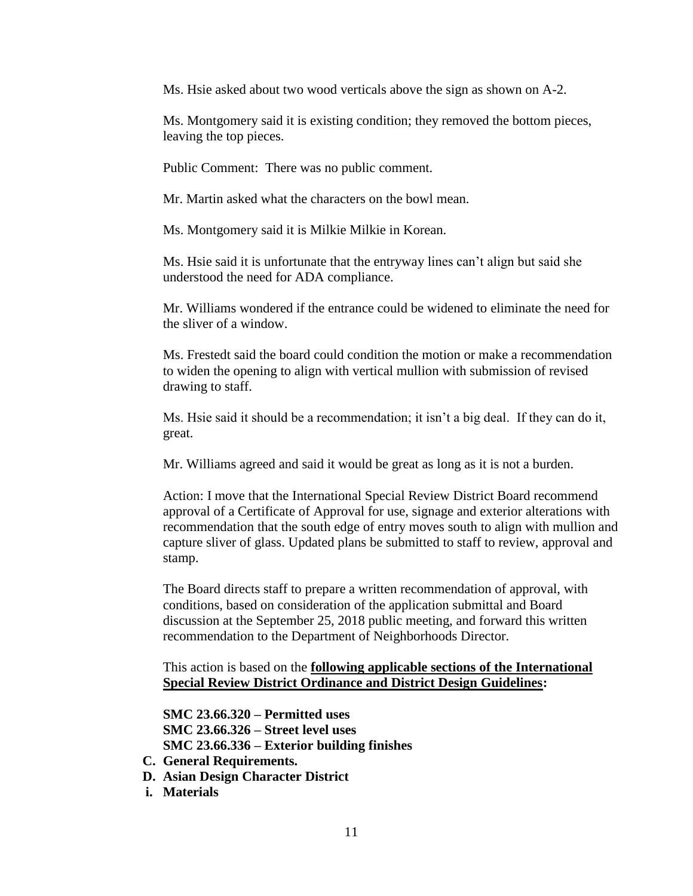Ms. Hsie asked about two wood verticals above the sign as shown on A-2.

Ms. Montgomery said it is existing condition; they removed the bottom pieces, leaving the top pieces.

Public Comment: There was no public comment.

Mr. Martin asked what the characters on the bowl mean.

Ms. Montgomery said it is Milkie Milkie in Korean.

Ms. Hsie said it is unfortunate that the entryway lines can't align but said she understood the need for ADA compliance.

Mr. Williams wondered if the entrance could be widened to eliminate the need for the sliver of a window.

Ms. Frestedt said the board could condition the motion or make a recommendation to widen the opening to align with vertical mullion with submission of revised drawing to staff.

Ms. Hsie said it should be a recommendation; it isn't a big deal. If they can do it, great.

Mr. Williams agreed and said it would be great as long as it is not a burden.

Action: I move that the International Special Review District Board recommend approval of a Certificate of Approval for use, signage and exterior alterations with recommendation that the south edge of entry moves south to align with mullion and capture sliver of glass. Updated plans be submitted to staff to review, approval and stamp.

The Board directs staff to prepare a written recommendation of approval, with conditions, based on consideration of the application submittal and Board discussion at the September 25, 2018 public meeting, and forward this written recommendation to the Department of Neighborhoods Director.

## This action is based on the **following applicable sections of the International Special Review District Ordinance and District Design Guidelines:**

**SMC 23.66.320 – Permitted uses SMC 23.66.326 – Street level uses SMC 23.66.336 – Exterior building finishes**

- **C. General Requirements.**
- **D. Asian Design Character District**
- **i. Materials**